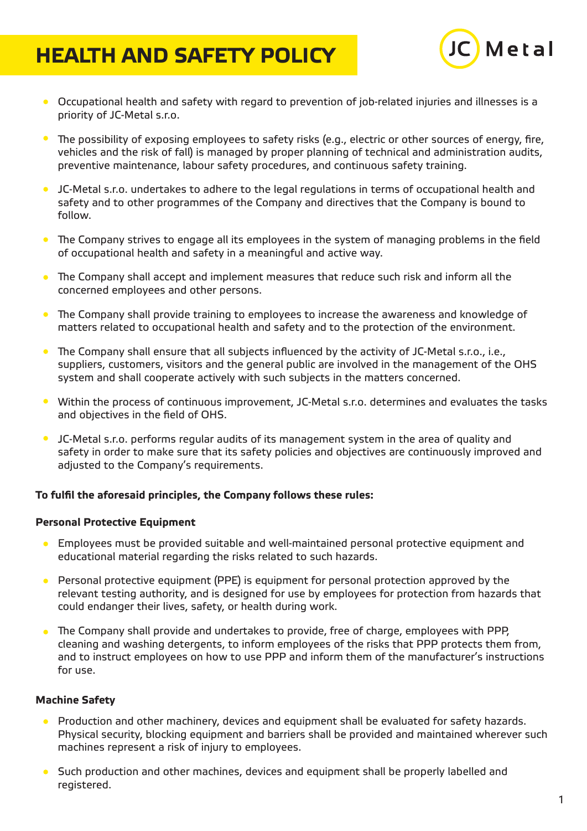# **HEALTH AND SAFETY POLICY**



- Occupational health and safety with regard to prevention of job-related injuries and illnesses is a priority of JC-Metal s.r.o.
- The possibility of exposing employees to safety risks (e.g., electric or other sources of energy, fire, vehicles and the risk of fall) is managed by proper planning of technical and administration audits, preventive maintenance, labour safety procedures, and continuous safety training.
- $\bullet$ JC-Metal s.r.o. undertakes to adhere to the legal regulations in terms of occupational health and safety and to other programmes of the Company and directives that the Company is bound to follow.
- The Company strives to engage all its employees in the system of managing problems in the field of occupational health and safety in a meaningful and active way.
- The Company shall accept and implement measures that reduce such risk and inform all the  $\bullet$ concerned employees and other persons.
- The Company shall provide training to employees to increase the awareness and knowledge of matters related to occupational health and safety and to the protection of the environment.
- The Company shall ensure that all subjects influenced by the activity of JC-Metal s.r.o., i.e.,  $\bullet$ suppliers, customers, visitors and the general public are involved in the management of the OHS system and shall cooperate actively with such subjects in the matters concerned.
- Within the process of continuous improvement, JC-Metal s.r.o. determines and evaluates the tasks and objectives in the field of OHS.
- $\bullet$ JC-Metal s.r.o. performs regular audits of its management system in the area of quality and safety in order to make sure that its safety policies and objectives are continuously improved and adjusted to the Company's requirements.

# **To fulfil the aforesaid principles, the Company follows these rules:**

# **Personal Protective Equipment**

- Employees must be provided suitable and well-maintained personal protective equipment and  $\bullet$ educational material regarding the risks related to such hazards.
- **•** Personal protective equipment (PPE) is equipment for personal protection approved by the relevant testing authority, and is designed for use by employees for protection from hazards that could endanger their lives, safety, or health during work.
- The Company shall provide and undertakes to provide, free of charge, employees with PPP, cleaning and washing detergents, to inform employees of the risks that PPP protects them from, and to instruct employees on how to use PPP and inform them of the manufacturer's instructions for use.

# **Machine Safety**

- Production and other machinery, devices and equipment shall be evaluated for safety hazards.  $\bullet$ Physical security, blocking equipment and barriers shall be provided and maintained wherever such machines represent a risk of injury to employees.
- Such production and other machines, devices and equipment shall be properly labelled and registered.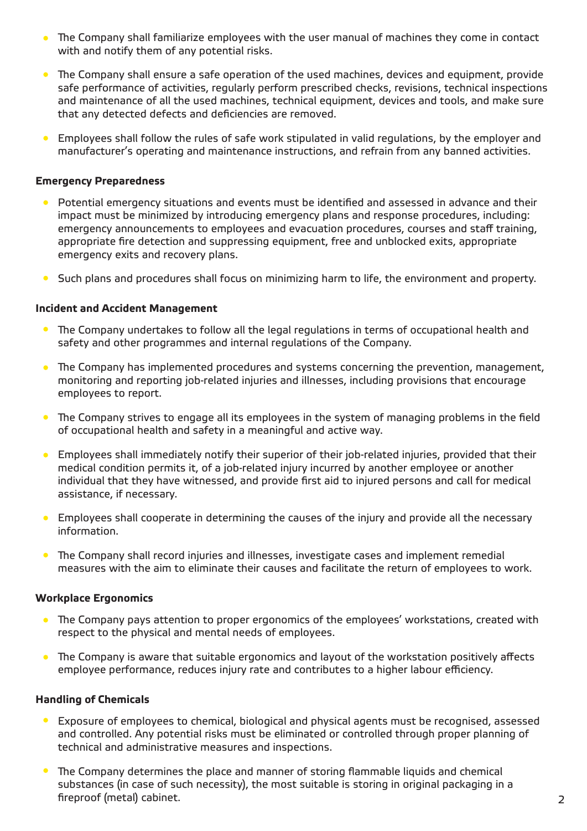- The Company shall familiarize employees with the user manual of machines they come in contact with and notify them of any potential risks.
- The Company shall ensure a safe operation of the used machines, devices and equipment, provide  $\bullet$ safe performance of activities, regularly perform prescribed checks, revisions, technical inspections and maintenance of all the used machines, technical equipment, devices and tools, and make sure that any detected defects and deficiencies are removed.
- Employees shall follow the rules of safe work stipulated in valid regulations, by the employer and  $\bullet$ manufacturer's operating and maintenance instructions, and refrain from any banned activities.

#### **Emergency Preparedness**

- **•** Potential emergency situations and events must be identified and assessed in advance and their impact must be minimized by introducing emergency plans and response procedures, including: emergency announcements to employees and evacuation procedures, courses and staff training, appropriate fire detection and suppressing equipment, free and unblocked exits, appropriate emergency exits and recovery plans.
- $\bullet$ Such plans and procedures shall focus on minimizing harm to life, the environment and property.

#### **Incident and Accident Management**

- **•** The Company undertakes to follow all the legal regulations in terms of occupational health and safety and other programmes and internal regulations of the Company.
- The Company has implemented procedures and systems concerning the prevention, management,  $\bullet$ monitoring and reporting job-related injuries and illnesses, including provisions that encourage employees to report.
- The Company strives to engage all its employees in the system of managing problems in the field  $\bullet$ of occupational health and safety in a meaningful and active way.
- Employees shall immediately notify their superior of their job-related injuries, provided that their  $\bullet$ medical condition permits it, of a job-related injury incurred by another employee or another individual that they have witnessed, and provide first aid to injured persons and call for medical assistance, if necessary.
- $\bullet$ Employees shall cooperate in determining the causes of the injury and provide all the necessary information.
- The Company shall record injuries and illnesses, investigate cases and implement remedial measures with the aim to eliminate their causes and facilitate the return of employees to work.

#### **Workplace Ergonomics**

- The Company pays attention to proper ergonomics of the employees' workstations, created with respect to the physical and mental needs of employees.
- The Company is aware that suitable ergonomics and layout of the workstation positively affects employee performance, reduces injury rate and contributes to a higher labour efficiency.

#### **Handling of Chemicals**

- Exposure of employees to chemical, biological and physical agents must be recognised, assessed  $\bullet$ and controlled. Any potential risks must be eliminated or controlled through proper planning of technical and administrative measures and inspections.
- The Company determines the place and manner of storing flammable liquids and chemical  $\bullet$ substances (in case of such necessity), the most suitable is storing in original packaging in a fireproof (metal) cabinet.